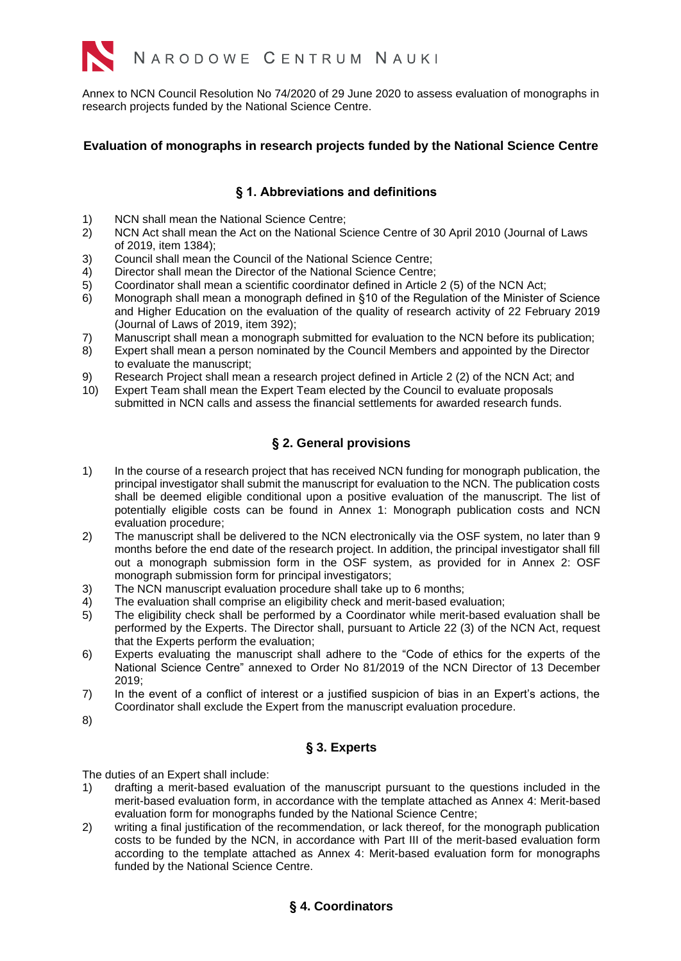

Annex to NCN Council Resolution No 74/2020 of 29 June 2020 to assess evaluation of monographs in research projects funded by the National Science Centre.

### **Evaluation of monographs in research projects funded by the National Science Centre**

#### **§ 1. Abbreviations and definitions**

- 1) NCN shall mean the National Science Centre;<br>2) NCN Act shall mean the Act on the National S
- 2) NCN Act shall mean the Act on the National Science Centre of 30 April 2010 (Journal of Laws of 2019, item 1384);
- 3) Council shall mean the Council of the National Science Centre;
- 4) Director shall mean the Director of the National Science Centre;
- 5) Coordinator shall mean a scientific coordinator defined in Article 2 (5) of the NCN Act;
- 6) Monograph shall mean a monograph defined in §10 of the Regulation of the Minister of Science and Higher Education on the evaluation of the quality of research activity of 22 February 2019 (Journal of Laws of 2019, item 392);
- 7) Manuscript shall mean a monograph submitted for evaluation to the NCN before its publication;
- 8) Expert shall mean a person nominated by the Council Members and appointed by the Director to evaluate the manuscript;
- 9) Research Project shall mean a research project defined in Article 2 (2) of the NCN Act; and
- 10) Expert Team shall mean the Expert Team elected by the Council to evaluate proposals submitted in NCN calls and assess the financial settlements for awarded research funds.

## **§ 2. General provisions**

- 1) In the course of a research project that has received NCN funding for monograph publication, the principal investigator shall submit the manuscript for evaluation to the NCN. The publication costs shall be deemed eligible conditional upon a positive evaluation of the manuscript. The list of potentially eligible costs can be found in Annex 1: Monograph publication costs and NCN evaluation procedure;
- 2) The manuscript shall be delivered to the NCN electronically via the OSF system, no later than 9 months before the end date of the research project. In addition, the principal investigator shall fill out a monograph submission form in the OSF system, as provided for in Annex 2: OSF monograph submission form for principal investigators;
- 3) The NCN manuscript evaluation procedure shall take up to 6 months;
- 4) The evaluation shall comprise an eligibility check and merit-based evaluation;
- 5) The eligibility check shall be performed by a Coordinator while merit-based evaluation shall be performed by the Experts. The Director shall, pursuant to Article 22 (3) of the NCN Act, request that the Experts perform the evaluation;
- 6) Experts evaluating the manuscript shall adhere to the "Code of ethics for the experts of the National Science Centre" annexed to Order No 81/2019 of the NCN Director of 13 December 2019;
- 7) In the event of a conflict of interest or a justified suspicion of bias in an Expert's actions, the Coordinator shall exclude the Expert from the manuscript evaluation procedure.
- 8)

## **§ 3. Experts**

The duties of an Expert shall include:

- 1) drafting a merit-based evaluation of the manuscript pursuant to the questions included in the merit-based evaluation form, in accordance with the template attached as Annex 4: Merit-based evaluation form for monographs funded by the National Science Centre;
- 2) writing a final justification of the recommendation, or lack thereof, for the monograph publication costs to be funded by the NCN, in accordance with Part III of the merit-based evaluation form according to the template attached as Annex 4: Merit-based evaluation form for monographs funded by the National Science Centre.

### **§ 4. Coordinators**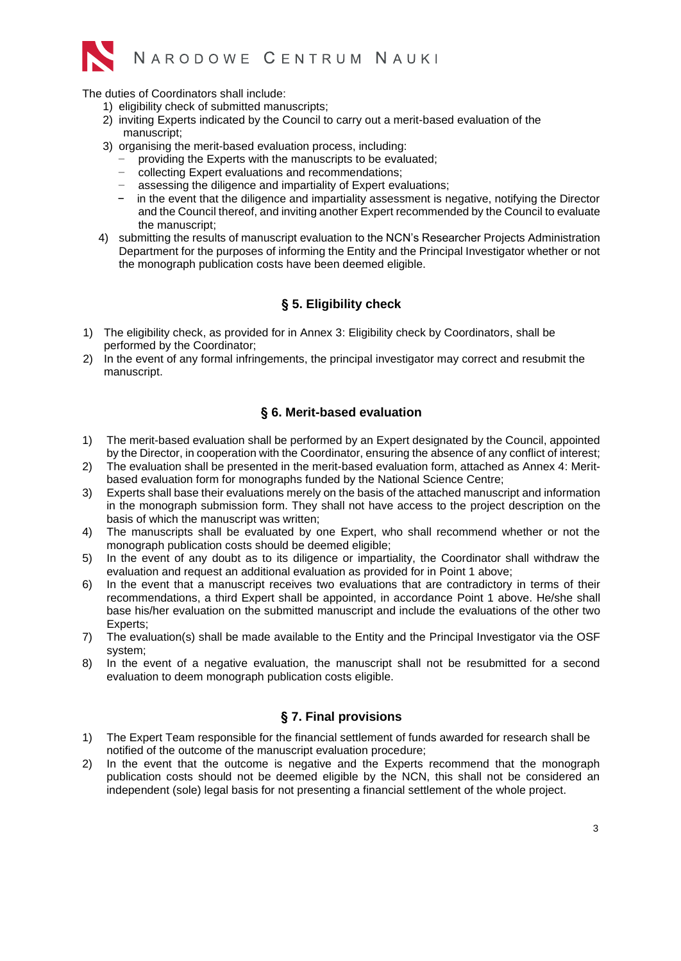

The duties of Coordinators shall include:

- 1) eligibility check of submitted manuscripts;
- 2) inviting Experts indicated by the Council to carry out a merit-based evaluation of the manuscript;
- 3) organising the merit-based evaluation process, including:
	- providing the Experts with the manuscripts to be evaluated;
	- − collecting Expert evaluations and recommendations;
	- − assessing the diligence and impartiality of Expert evaluations;
	- in the event that the diligence and impartiality assessment is negative, notifying the Director and the Council thereof, and inviting another Expert recommended by the Council to evaluate the manuscript;
- 4) submitting the results of manuscript evaluation to the NCN's Researcher Projects Administration Department for the purposes of informing the Entity and the Principal Investigator whether or not the monograph publication costs have been deemed eligible.

# **§ 5. Eligibility check**

- 1) The eligibility check, as provided for in Annex 3: Eligibility check by Coordinators, shall be performed by the Coordinator;
- 2) In the event of any formal infringements, the principal investigator may correct and resubmit the manuscript.

#### **§ 6. Merit-based evaluation**

- 1) The merit-based evaluation shall be performed by an Expert designated by the Council, appointed by the Director, in cooperation with the Coordinator, ensuring the absence of any conflict of interest;
- 2) The evaluation shall be presented in the merit-based evaluation form, attached as Annex 4: Meritbased evaluation form for monographs funded by the National Science Centre;
- 3) Experts shall base their evaluations merely on the basis of the attached manuscript and information in the monograph submission form. They shall not have access to the project description on the basis of which the manuscript was written;
- 4) The manuscripts shall be evaluated by one Expert, who shall recommend whether or not the monograph publication costs should be deemed eligible;
- 5) In the event of any doubt as to its diligence or impartiality, the Coordinator shall withdraw the evaluation and request an additional evaluation as provided for in Point 1 above;
- 6) In the event that a manuscript receives two evaluations that are contradictory in terms of their recommendations, a third Expert shall be appointed, in accordance Point 1 above. He/she shall base his/her evaluation on the submitted manuscript and include the evaluations of the other two Experts;
- 7) The evaluation(s) shall be made available to the Entity and the Principal Investigator via the OSF system;
- 8) In the event of a negative evaluation, the manuscript shall not be resubmitted for a second evaluation to deem monograph publication costs eligible.

### **§ 7. Final provisions**

- 1) The Expert Team responsible for the financial settlement of funds awarded for research shall be notified of the outcome of the manuscript evaluation procedure;
- 2) In the event that the outcome is negative and the Experts recommend that the monograph publication costs should not be deemed eligible by the NCN, this shall not be considered an independent (sole) legal basis for not presenting a financial settlement of the whole project.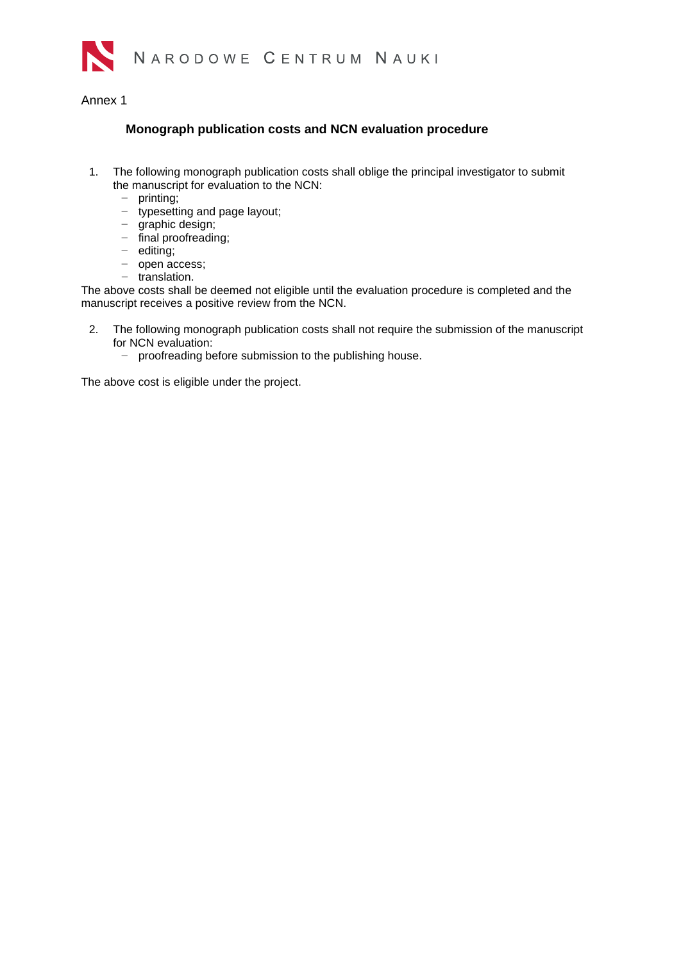

#### Annex 1

## **Monograph publication costs and NCN evaluation procedure**

- 1. The following monograph publication costs shall oblige the principal investigator to submit the manuscript for evaluation to the NCN:
	- − printing;
	- − typesetting and page layout;
	- − graphic design;
	- − final proofreading;
	- − editing;
	- − open access;
	- − translation.

The above costs shall be deemed not eligible until the evaluation procedure is completed and the manuscript receives a positive review from the NCN.

- 2. The following monograph publication costs shall not require the submission of the manuscript for NCN evaluation:
	- − proofreading before submission to the publishing house.

The above cost is eligible under the project.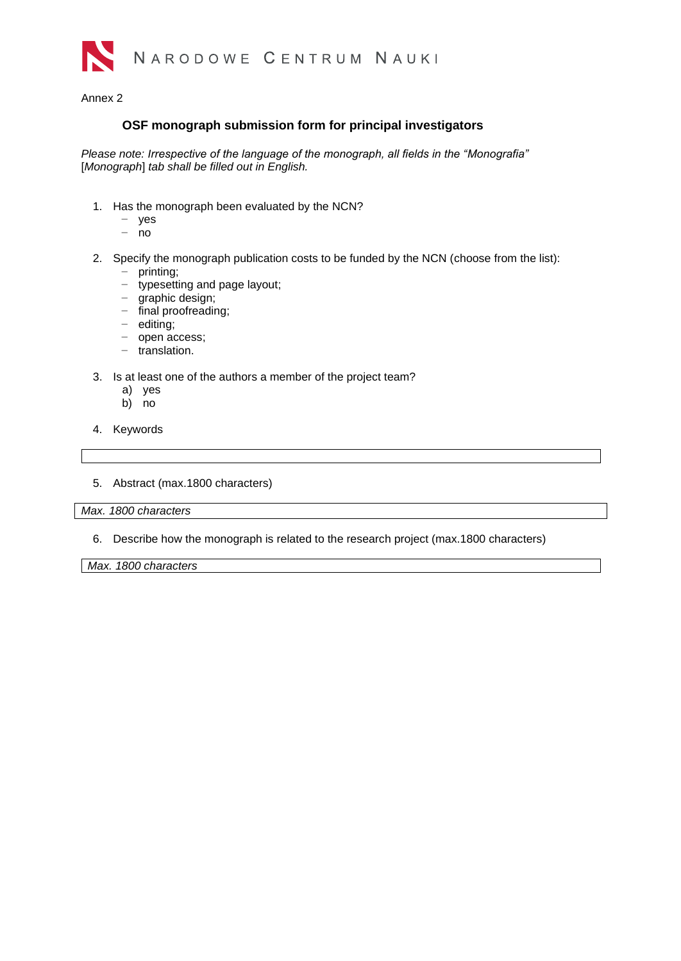

Annex 2

### **OSF monograph submission form for principal investigators**

*Please note: Irrespective of the language of the monograph, all fields in the "Monografia"*  [*Monograph*] *tab shall be filled out in English.*

- 1. Has the monograph been evaluated by the NCN?
	- − yes
	- − no
- 2. Specify the monograph publication costs to be funded by the NCN (choose from the list): − printing;
	- − typesetting and page layout;
	- − graphic design;
	- − final proofreading;
	- − editing;
	- − open access;
	- − translation.
- 3. Is at least one of the authors a member of the project team?
	- a) yes
	- b) no
- 4. Keywords
- 5. Abstract (max.1800 characters)

*Max. 1800 characters*

6. Describe how the monograph is related to the research project (max.1800 characters)

*Max. 1800 characters*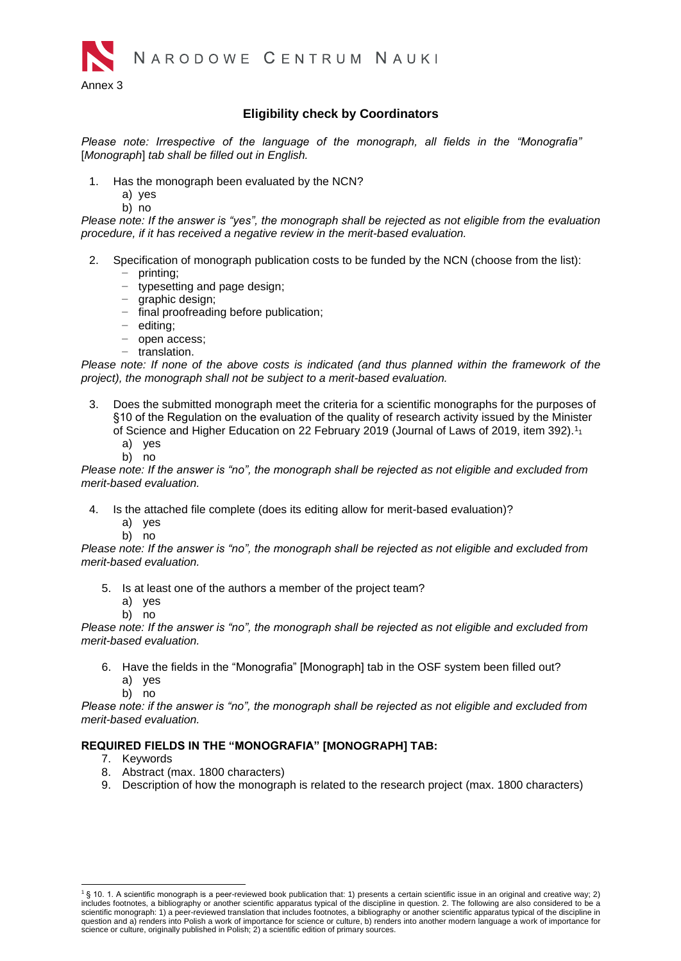

### **Eligibility check by Coordinators**

*Please note: Irrespective of the language of the monograph, all fields in the "Monografia"*  [*Monograph*] *tab shall be filled out in English.*

- 1. Has the monograph been evaluated by the NCN?
	- a) yes
	- b) no

*Please note: If the answer is "yes", the monograph shall be rejected as not eligible from the evaluation procedure, if it has received a negative review in the merit-based evaluation.*

- 2. Specification of monograph publication costs to be funded by the NCN (choose from the list):
	- − printing;
	- − typesetting and page design;
	- − graphic design;
	- − final proofreading before publication;
	- − editing;
	- − open access;
	- − translation.

*Please note: If none of the above costs is indicated (and thus planned within the framework of the project), the monograph shall not be subject to a merit-based evaluation.*

- 3. Does the submitted monograph meet the criteria for a scientific monographs for the purposes of §10 of the Regulation on the evaluation of the quality of research activity issued by the Minister of Science and Higher Education on 22 February 2019 (Journal of Laws of 2019, item 392).<sup>1</sup><sup>1</sup>
	- a) yes
	- b) no

*Please note: If the answer is "no", the monograph shall be rejected as not eligible and excluded from merit-based evaluation.*

- 4. Is the attached file complete (does its editing allow for merit-based evaluation)?
	- a) yes
	- b) no

*Please note: If the answer is "no", the monograph shall be rejected as not eligible and excluded from merit-based evaluation.*

- 5. Is at least one of the authors a member of the project team?
	- a) yes
	- b) no

*Please note: If the answer is "no", the monograph shall be rejected as not eligible and excluded from merit-based evaluation.* 

- 6. Have the fields in the "Monografia" [Monograph] tab in the OSF system been filled out? a) yes
	- b) no

*Please note: if the answer is "no", the monograph shall be rejected as not eligible and excluded from merit-based evaluation.* 

#### **REQUIRED FIELDS IN THE "MONOGRAFIA" [MONOGRAPH] TAB:**

- 7. Keywords
- 8. Abstract (max. 1800 characters)
- 9. Description of how the monograph is related to the research project (max. 1800 characters)

 $1$  § 10. 1. A scientific monograph is a peer-reviewed book publication that: 1) presents a certain scientific issue in an original and creative way; 2) includes footnotes, a bibliography or another scientific apparatus typical of the discipline in question. 2. The following are also considered to be a scientific monograph: 1) a peer-reviewed translation that includes footnotes, a bibliography or another scientific apparatus typical of the discipline in question and a) renders into Polish a work of importance for science or culture, b) renders into another modern language a work of importance for<br>science or culture, originally published in Polish; 2) a scientific edition